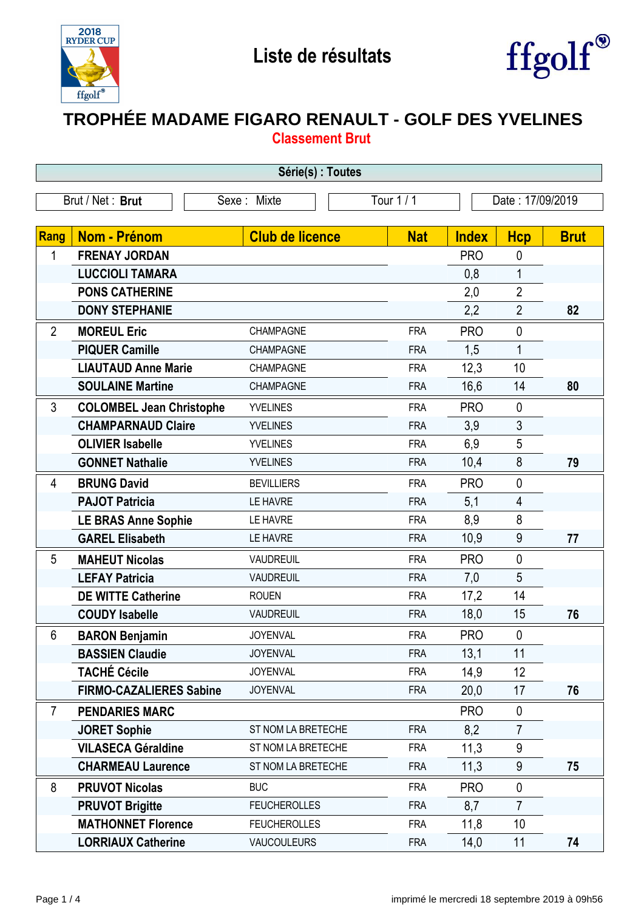



## **TROPHÉE MADAME FIGARO RENAULT - GOLF DES YVELINES Classement Brut**

| Série(s) : Toutes                                                 |                                 |                        |            |              |                |             |  |
|-------------------------------------------------------------------|---------------------------------|------------------------|------------|--------------|----------------|-------------|--|
| Tour 1 / 1<br>Brut / Net: Brut<br>Date: 17/09/2019<br>Sexe: Mixte |                                 |                        |            |              |                |             |  |
|                                                                   |                                 |                        |            |              |                |             |  |
| Rang                                                              | <b>Nom - Prénom</b>             | <b>Club de licence</b> | <b>Nat</b> | <b>Index</b> | <b>Hcp</b>     | <b>Brut</b> |  |
| 1                                                                 | <b>FRENAY JORDAN</b>            |                        |            | <b>PRO</b>   | 0              |             |  |
|                                                                   | <b>LUCCIOLI TAMARA</b>          |                        |            | 0,8          | 1              |             |  |
|                                                                   | <b>PONS CATHERINE</b>           |                        |            | 2,0          | $\overline{2}$ |             |  |
|                                                                   | <b>DONY STEPHANIE</b>           |                        |            | 2,2          | $\overline{2}$ | 82          |  |
| $\overline{2}$                                                    | <b>MOREUL Eric</b>              | CHAMPAGNE              | <b>FRA</b> | <b>PRO</b>   | $\mathbf 0$    |             |  |
|                                                                   | <b>PIQUER Camille</b>           | <b>CHAMPAGNE</b>       | <b>FRA</b> | 1,5          | $\mathbf{1}$   |             |  |
|                                                                   | <b>LIAUTAUD Anne Marie</b>      | CHAMPAGNE              | <b>FRA</b> | 12,3         | 10             |             |  |
|                                                                   | <b>SOULAINE Martine</b>         | <b>CHAMPAGNE</b>       | <b>FRA</b> | 16,6         | 14             | 80          |  |
| $\mathfrak{Z}$                                                    | <b>COLOMBEL Jean Christophe</b> | <b>YVELINES</b>        | <b>FRA</b> | <b>PRO</b>   | $\pmb{0}$      |             |  |
|                                                                   | <b>CHAMPARNAUD Claire</b>       | <b>YVELINES</b>        | <b>FRA</b> | 3,9          | $\mathfrak{Z}$ |             |  |
|                                                                   | <b>OLIVIER Isabelle</b>         | <b>YVELINES</b>        | <b>FRA</b> | 6,9          | 5              |             |  |
|                                                                   | <b>GONNET Nathalie</b>          | <b>YVELINES</b>        | <b>FRA</b> | 10,4         | 8              | 79          |  |
| 4                                                                 | <b>BRUNG David</b>              | <b>BEVILLIERS</b>      | <b>FRA</b> | <b>PRO</b>   | $\mathbf 0$    |             |  |
|                                                                   | <b>PAJOT Patricia</b>           | LE HAVRE               | <b>FRA</b> | 5,1          | 4              |             |  |
|                                                                   | <b>LE BRAS Anne Sophie</b>      | LE HAVRE               | <b>FRA</b> | 8,9          | 8              |             |  |
|                                                                   | <b>GAREL Elisabeth</b>          | LE HAVRE               | <b>FRA</b> | 10,9         | 9              | 77          |  |
| 5                                                                 | <b>MAHEUT Nicolas</b>           | <b>VAUDREUIL</b>       | <b>FRA</b> | <b>PRO</b>   | $\mathbf 0$    |             |  |
|                                                                   | <b>LEFAY Patricia</b>           | <b>VAUDREUIL</b>       | <b>FRA</b> | 7,0          | 5              |             |  |
|                                                                   | <b>DE WITTE Catherine</b>       | <b>ROUEN</b>           | <b>FRA</b> | 17,2         | 14             |             |  |
|                                                                   | <b>COUDY Isabelle</b>           | <b>VAUDREUIL</b>       | <b>FRA</b> | 18,0         | 15             | 76          |  |
| 6                                                                 | <b>BARON Benjamin</b>           | <b>JOYENVAL</b>        | <b>FRA</b> | <b>PRO</b>   | $\mathbf 0$    |             |  |
|                                                                   | <b>BASSIEN Claudie</b>          | <b>JOYENVAL</b>        | <b>FRA</b> | 13,1         | 11             |             |  |
|                                                                   | <b>TACHÉ Cécile</b>             | <b>JOYENVAL</b>        | <b>FRA</b> | 14,9         | 12             |             |  |
|                                                                   | <b>FIRMO-CAZALIERES Sabine</b>  | <b>JOYENVAL</b>        | <b>FRA</b> | 20,0         | 17             | 76          |  |
| $\overline{7}$                                                    | <b>PENDARIES MARC</b>           |                        |            | <b>PRO</b>   | $\mathbf 0$    |             |  |
|                                                                   | <b>JORET Sophie</b>             | ST NOM LA BRETECHE     | <b>FRA</b> | 8,2          | $\overline{7}$ |             |  |
|                                                                   | <b>VILASECA Géraldine</b>       | ST NOM LA BRETECHE     | <b>FRA</b> | 11,3         | 9              |             |  |
|                                                                   | <b>CHARMEAU Laurence</b>        | ST NOM LA BRETECHE     | <b>FRA</b> | 11,3         | 9              | 75          |  |
| 8                                                                 | <b>PRUVOT Nicolas</b>           | <b>BUC</b>             | <b>FRA</b> | <b>PRO</b>   | 0              |             |  |
|                                                                   | <b>PRUVOT Brigitte</b>          | <b>FEUCHEROLLES</b>    | <b>FRA</b> | 8,7          | $\overline{7}$ |             |  |
|                                                                   | <b>MATHONNET Florence</b>       | <b>FEUCHEROLLES</b>    | <b>FRA</b> | 11,8         | 10             |             |  |
|                                                                   | <b>LORRIAUX Catherine</b>       | <b>VAUCOULEURS</b>     | <b>FRA</b> | 14,0         | 11             | 74          |  |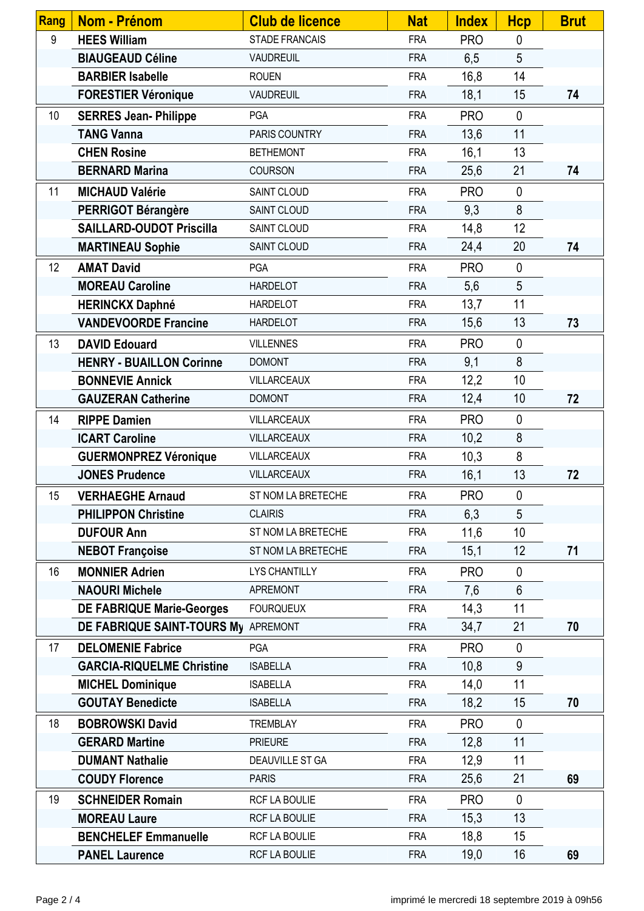| Rang | <b>Nom - Prénom</b>                 | <b>Club de licence</b> | <b>Nat</b> | <b>Index</b> | <b>Hcp</b>   | <b>Brut</b> |
|------|-------------------------------------|------------------------|------------|--------------|--------------|-------------|
| 9    | <b>HEES William</b>                 | <b>STADE FRANCAIS</b>  | <b>FRA</b> | <b>PRO</b>   | $\mathbf 0$  |             |
|      | <b>BIAUGEAUD Céline</b>             | <b>VAUDREUIL</b>       | <b>FRA</b> | 6,5          | 5            |             |
|      | <b>BARBIER Isabelle</b>             | <b>ROUEN</b>           | <b>FRA</b> | 16,8         | 14           |             |
|      | <b>FORESTIER Véronique</b>          | <b>VAUDREUIL</b>       | <b>FRA</b> | 18,1         | 15           | 74          |
| 10   | <b>SERRES Jean- Philippe</b>        | <b>PGA</b>             | <b>FRA</b> | <b>PRO</b>   | $\mathbf{0}$ |             |
|      | <b>TANG Vanna</b>                   | PARIS COUNTRY          | <b>FRA</b> | 13,6         | 11           |             |
|      | <b>CHEN Rosine</b>                  | <b>BETHEMONT</b>       | <b>FRA</b> | 16,1         | 13           |             |
|      | <b>BERNARD Marina</b>               | <b>COURSON</b>         | <b>FRA</b> | 25,6         | 21           | 74          |
| 11   | <b>MICHAUD Valérie</b>              | SAINT CLOUD            | <b>FRA</b> | <b>PRO</b>   | $\mathbf 0$  |             |
|      | <b>PERRIGOT Bérangère</b>           | SAINT CLOUD            | <b>FRA</b> | 9,3          | 8            |             |
|      | <b>SAILLARD-OUDOT Priscilla</b>     | SAINT CLOUD            | <b>FRA</b> | 14,8         | 12           |             |
|      | <b>MARTINEAU Sophie</b>             | SAINT CLOUD            | <b>FRA</b> | 24,4         | 20           | 74          |
| 12   | <b>AMAT David</b>                   | <b>PGA</b>             | <b>FRA</b> | <b>PRO</b>   | $\mathbf 0$  |             |
|      | <b>MOREAU Caroline</b>              | <b>HARDELOT</b>        | <b>FRA</b> | 5,6          | 5            |             |
|      | <b>HERINCKX Daphné</b>              | <b>HARDELOT</b>        | <b>FRA</b> | 13,7         | 11           |             |
|      | <b>VANDEVOORDE Francine</b>         | <b>HARDELOT</b>        | <b>FRA</b> | 15,6         | 13           | 73          |
| 13   | <b>DAVID Edouard</b>                | <b>VILLENNES</b>       | <b>FRA</b> | <b>PRO</b>   | $\mathbf 0$  |             |
|      | <b>HENRY - BUAILLON Corinne</b>     | <b>DOMONT</b>          | <b>FRA</b> | 9,1          | 8            |             |
|      | <b>BONNEVIE Annick</b>              | <b>VILLARCEAUX</b>     | <b>FRA</b> | 12,2         | 10           |             |
|      | <b>GAUZERAN Catherine</b>           | <b>DOMONT</b>          | <b>FRA</b> | 12,4         | 10           | 72          |
| 14   | <b>RIPPE Damien</b>                 | VILLARCEAUX            | <b>FRA</b> | <b>PRO</b>   | $\mathbf 0$  |             |
|      | <b>ICART Caroline</b>               | <b>VILLARCEAUX</b>     | <b>FRA</b> | 10,2         | $\bf 8$      |             |
|      | <b>GUERMONPREZ Véronique</b>        | VILLARCEAUX            | <b>FRA</b> | 10,3         | 8            |             |
|      | <b>JONES Prudence</b>               | VILLARCEAUX            | <b>FRA</b> | 16,1         | 13           | 72          |
| 15   | <b>VERHAEGHE Arnaud</b>             | ST NOM LA BRETECHE     | <b>FRA</b> | <b>PRO</b>   | $\pmb{0}$    |             |
|      | <b>PHILIPPON Christine</b>          | <b>CLAIRIS</b>         | <b>FRA</b> | 6,3          | 5            |             |
|      | <b>DUFOUR Ann</b>                   | ST NOM LA BRETECHE     | <b>FRA</b> | 11,6         | 10           |             |
|      | <b>NEBOT Françoise</b>              | ST NOM LA BRETECHE     | <b>FRA</b> | 15,1         | 12           | 71          |
| 16   | <b>MONNIER Adrien</b>               | <b>LYS CHANTILLY</b>   | <b>FRA</b> | <b>PRO</b>   | $\mathbf 0$  |             |
|      | <b>NAOURI Michele</b>               | <b>APREMONT</b>        | <b>FRA</b> | 7,6          | 6            |             |
|      | <b>DE FABRIQUE Marie-Georges</b>    | <b>FOURQUEUX</b>       | <b>FRA</b> | 14,3         | 11           |             |
|      | DE FABRIQUE SAINT-TOURS My APREMONT |                        | <b>FRA</b> | 34,7         | 21           | 70          |
| 17   | <b>DELOMENIE Fabrice</b>            | <b>PGA</b>             | <b>FRA</b> | <b>PRO</b>   | $\mathbf 0$  |             |
|      | <b>GARCIA-RIQUELME Christine</b>    | <b>ISABELLA</b>        | <b>FRA</b> | 10,8         | 9            |             |
|      | <b>MICHEL Dominique</b>             | <b>ISABELLA</b>        | <b>FRA</b> | 14,0         | 11           |             |
|      | <b>GOUTAY Benedicte</b>             | <b>ISABELLA</b>        | <b>FRA</b> | 18,2         | 15           | 70          |
| 18   | <b>BOBROWSKI David</b>              | <b>TREMBLAY</b>        | <b>FRA</b> | <b>PRO</b>   | $\mathbf 0$  |             |
|      | <b>GERARD Martine</b>               | <b>PRIEURE</b>         | <b>FRA</b> | 12,8         | 11           |             |
|      | <b>DUMANT Nathalie</b>              | DEAUVILLE ST GA        | <b>FRA</b> | 12,9         | 11           |             |
|      | <b>COUDY Florence</b>               | <b>PARIS</b>           | <b>FRA</b> | 25,6         | 21           | 69          |
| 19   | <b>SCHNEIDER Romain</b>             | RCF LA BOULIE          | <b>FRA</b> | <b>PRO</b>   | $\mathbf 0$  |             |
|      | <b>MOREAU Laure</b>                 | RCF LA BOULIE          | <b>FRA</b> | 15,3         | 13           |             |
|      | <b>BENCHELEF Emmanuelle</b>         | RCF LA BOULIE          | <b>FRA</b> | 18,8         | 15           |             |
|      | <b>PANEL Laurence</b>               | RCF LA BOULIE          | <b>FRA</b> | 19,0         | 16           | 69          |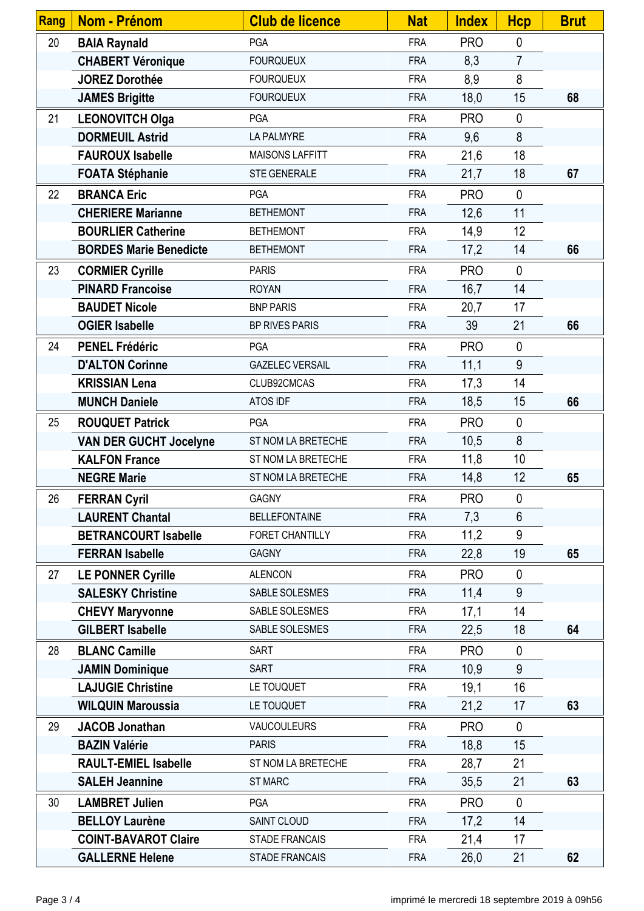| Rang | Nom - Prénom                  | <b>Club de licence</b> | <b>Nat</b> | <b>Index</b> | <b>Hcp</b>     | <b>Brut</b> |
|------|-------------------------------|------------------------|------------|--------------|----------------|-------------|
| 20   | <b>BAIA Raynald</b>           | <b>PGA</b>             | <b>FRA</b> | <b>PRO</b>   | $\mathbf 0$    |             |
|      | <b>CHABERT Véronique</b>      | <b>FOURQUEUX</b>       | <b>FRA</b> | 8,3          | $\overline{7}$ |             |
|      | <b>JOREZ Dorothée</b>         | <b>FOURQUEUX</b>       | <b>FRA</b> | 8,9          | 8              |             |
|      | <b>JAMES Brigitte</b>         | <b>FOURQUEUX</b>       | <b>FRA</b> | 18,0         | 15             | 68          |
| 21   | <b>LEONOVITCH Olga</b>        | <b>PGA</b>             | <b>FRA</b> | <b>PRO</b>   | $\mathbf 0$    |             |
|      | <b>DORMEUIL Astrid</b>        | LA PALMYRE             | <b>FRA</b> | 9,6          | 8              |             |
|      | <b>FAUROUX Isabelle</b>       | <b>MAISONS LAFFITT</b> | <b>FRA</b> | 21,6         | 18             |             |
|      | <b>FOATA Stéphanie</b>        | <b>STE GENERALE</b>    | <b>FRA</b> | 21,7         | 18             | 67          |
| 22   | <b>BRANCA Eric</b>            | <b>PGA</b>             | <b>FRA</b> | <b>PRO</b>   | $\mathbf 0$    |             |
|      | <b>CHERIERE Marianne</b>      | <b>BETHEMONT</b>       | <b>FRA</b> | 12,6         | 11             |             |
|      | <b>BOURLIER Catherine</b>     | <b>BETHEMONT</b>       | <b>FRA</b> | 14,9         | 12             |             |
|      | <b>BORDES Marie Benedicte</b> | <b>BETHEMONT</b>       | <b>FRA</b> | 17,2         | 14             | 66          |
| 23   | <b>CORMIER Cyrille</b>        | <b>PARIS</b>           | <b>FRA</b> | <b>PRO</b>   | $\mathbf 0$    |             |
|      | <b>PINARD Francoise</b>       | <b>ROYAN</b>           | <b>FRA</b> | 16,7         | 14             |             |
|      | <b>BAUDET Nicole</b>          | <b>BNP PARIS</b>       | <b>FRA</b> | 20,7         | 17             |             |
|      | <b>OGIER Isabelle</b>         | <b>BP RIVES PARIS</b>  | <b>FRA</b> | 39           | 21             | 66          |
| 24   | <b>PENEL Frédéric</b>         | <b>PGA</b>             | <b>FRA</b> | <b>PRO</b>   | $\mathbf 0$    |             |
|      | <b>D'ALTON Corinne</b>        | <b>GAZELEC VERSAIL</b> | <b>FRA</b> | 11,1         | 9              |             |
|      | <b>KRISSIAN Lena</b>          | CLUB92CMCAS            | <b>FRA</b> | 17,3         | 14             |             |
|      | <b>MUNCH Daniele</b>          | ATOS IDF               | <b>FRA</b> | 18,5         | 15             | 66          |
| 25   | <b>ROUQUET Patrick</b>        | <b>PGA</b>             | <b>FRA</b> | <b>PRO</b>   | $\mathbf 0$    |             |
|      | <b>VAN DER GUCHT Jocelyne</b> | ST NOM LA BRETECHE     | <b>FRA</b> | 10,5         | 8              |             |
|      | <b>KALFON France</b>          | ST NOM LA BRETECHE     | <b>FRA</b> | 11,8         | 10             |             |
|      | <b>NEGRE Marie</b>            | ST NOM LA BRETECHE     | <b>FRA</b> | 14,8         | 12             | 65          |
| 26   | <b>FERRAN Cyril</b>           | <b>GAGNY</b>           | <b>FRA</b> | <b>PRO</b>   | $\mathbf 0$    |             |
|      | <b>LAURENT Chantal</b>        | <b>BELLEFONTAINE</b>   | <b>FRA</b> | 7,3          | $6\phantom{1}$ |             |
|      | <b>BETRANCOURT Isabelle</b>   | FORET CHANTILLY        | <b>FRA</b> | 11,2         | 9              |             |
|      | <b>FERRAN Isabelle</b>        | <b>GAGNY</b>           | <b>FRA</b> | 22,8         | 19             | 65          |
| 27   | <b>LE PONNER Cyrille</b>      | <b>ALENCON</b>         | <b>FRA</b> | <b>PRO</b>   | $\mathbf 0$    |             |
|      | <b>SALESKY Christine</b>      | SABLE SOLESMES         | <b>FRA</b> | 11,4         | 9              |             |
|      | <b>CHEVY Maryvonne</b>        | SABLE SOLESMES         | <b>FRA</b> | 17,1         | 14             |             |
|      | <b>GILBERT Isabelle</b>       | SABLE SOLESMES         | <b>FRA</b> | 22,5         | 18             | 64          |
| 28   | <b>BLANC Camille</b>          | <b>SART</b>            | <b>FRA</b> | <b>PRO</b>   | $\mathbf 0$    |             |
|      | <b>JAMIN Dominique</b>        | <b>SART</b>            | <b>FRA</b> | 10,9         | 9              |             |
|      | <b>LAJUGIE Christine</b>      | LE TOUQUET             | <b>FRA</b> | 19,1         | 16             |             |
|      | <b>WILQUIN Maroussia</b>      | LE TOUQUET             | <b>FRA</b> | 21,2         | 17             | 63          |
| 29   | <b>JACOB Jonathan</b>         | <b>VAUCOULEURS</b>     | <b>FRA</b> | <b>PRO</b>   | $\mathbf 0$    |             |
|      | <b>BAZIN Valérie</b>          | <b>PARIS</b>           | <b>FRA</b> | 18,8         | 15             |             |
|      | <b>RAULT-EMIEL Isabelle</b>   | ST NOM LA BRETECHE     | <b>FRA</b> | 28,7         | 21             |             |
|      | <b>SALEH Jeannine</b>         | ST MARC                | <b>FRA</b> | 35,5         | 21             | 63          |
| 30   | <b>LAMBRET Julien</b>         | <b>PGA</b>             | <b>FRA</b> | <b>PRO</b>   | $\mathbf 0$    |             |
|      | <b>BELLOY Laurène</b>         | SAINT CLOUD            | <b>FRA</b> | 17,2         | 14             |             |
|      | <b>COINT-BAVAROT Claire</b>   | <b>STADE FRANCAIS</b>  | <b>FRA</b> | 21,4         | 17             |             |
|      | <b>GALLERNE Helene</b>        | <b>STADE FRANCAIS</b>  | <b>FRA</b> | 26,0         | 21             | 62          |